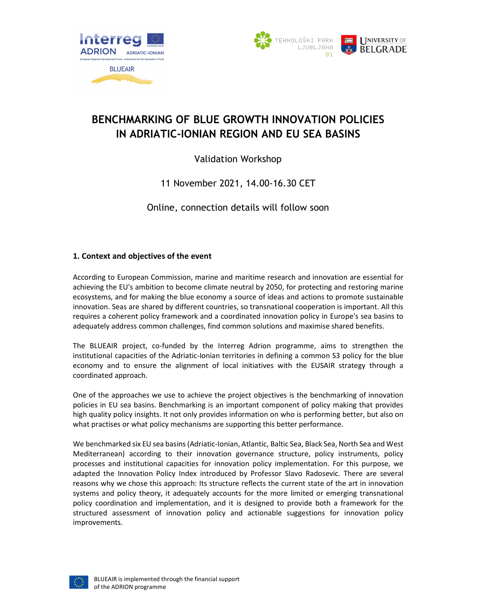



# BENCHMARKING OF BLUE GROWTH INNOVATION POLICIES IN ADRIATIC-IONIAN REGION AND EU SEA BASINS

# Validation Workshop

# 11 November 2021, 14.00-16.30 CET

Online, connection details will follow soon

## 1. Context and objectives of the event

According to European Commission, marine and maritime research and innovation are essential for achieving the EU's ambition to become climate neutral by 2050, for protecting and restoring marine ecosystems, and for making the blue economy a source of ideas and actions to promote sustainable innovation. Seas are shared by different countries, so transnational cooperation is important. All this requires a coherent policy framework and a coordinated innovation policy in Europe's sea basins to adequately address common challenges, find common solutions and maximise shared benefits.

The BLUEAIR project, co-funded by the Interreg Adrion programme, aims to strengthen the institutional capacities of the Adriatic-Ionian territories in defining a common S3 policy for the blue economy and to ensure the alignment of local initiatives with the EUSAIR strategy through a coordinated approach.

One of the approaches we use to achieve the project objectives is the benchmarking of innovation policies in EU sea basins. Benchmarking is an important component of policy making that provides high quality policy insights. It not only provides information on who is performing better, but also on what practises or what policy mechanisms are supporting this better performance.

We benchmarked six EU sea basins (Adriatic-Ionian, Atlantic, Baltic Sea, Black Sea, North Sea and West Mediterranean) according to their innovation governance structure, policy instruments, policy processes and institutional capacities for innovation policy implementation. For this purpose, we adapted the Innovation Policy Index introduced by Professor Slavo Radosevic. There are several reasons why we chose this approach: Its structure reflects the current state of the art in innovation systems and policy theory, it adequately accounts for the more limited or emerging transnational policy coordination and implementation, and it is designed to provide both a framework for the structured assessment of innovation policy and actionable suggestions for innovation policy improvements.